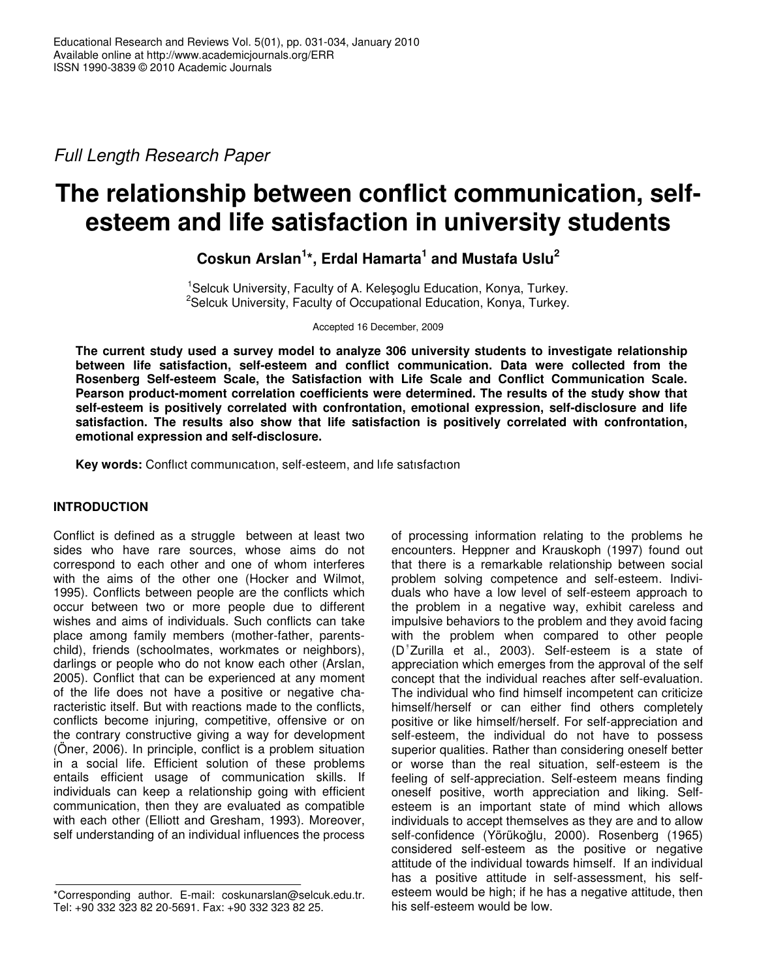*Full Length Research Paper*

# **The relationship between conflict communication, selfesteem and life satisfaction in university students**

**Coskun Arslan 1 \*, Erdal Hamarta 1 and Mustafa Uslu 2**

<sup>1</sup>Selcuk University, Faculty of A. Keleşoglu Education, Konya, Turkey. <sup>2</sup>Selcuk University, Faculty of Occupational Education, Konya, Turkey.

Accepted 16 December, 2009

**The current study used a survey model to analyze 306 university students to investigate relationship between life satisfaction, self-esteem and conflict communication. Data were collected from the Rosenberg Self-esteem Scale, the Satisfaction with Life Scale and Conflict Communication Scale. Pearson product-moment correlation coefficients were determined. The results of the study show that self-esteem is positively correlated with confrontation, emotional expression, self-disclosure and life satisfaction. The results also show that life satisfaction is positively correlated with confrontation, emotional expression and self-disclosure.**

**Key words:** Conflıct communıcatıon, self-esteem, and lıfe satısfactıon

# **INTRODUCTION**

Conflict is defined as a struggle between at least two sides who have rare sources, whose aims do not correspond to each other and one of whom interferes with the aims of the other one (Hocker and Wilmot, 1995). Conflicts between people are the conflicts which occur between two or more people due to different wishes and aims of individuals. Such conflicts can take place among family members (mother-father, parentschild), friends (schoolmates, workmates or neighbors), darlings or people who do not know each other (Arslan, 2005). Conflict that can be experienced at any moment of the life does not have a positive or negative characteristic itself. But with reactions made to the conflicts, conflicts become injuring, competitive, offensive or on the contrary constructive giving a way for development (Öner, 2006). In principle, conflict is a problem situation in a social life. Efficient solution of these problems entails efficient usage of communication skills. If individuals can keep a relationship going with efficient communication, then they are evaluated as compatible with each other (Elliott and Gresham, 1993). Moreover, self understanding of an individual influences the process of processing information relating to the problems he encounters. Heppner and Krauskoph (1997) found out that there is a remarkable relationship between social problem solving competence and self-esteem. Individuals who have a low level of self-esteem approach to the problem in a negative way, exhibit careless and impulsive behaviors to the problem and they avoid facing with the problem when compared to other people  $(D^{\dagger}Z$ urilla et al., 2003). Self-esteem is a state of appreciation which emerges from the approval of the self concept that the individual reaches after self-evaluation. The individual who find himself incompetent can criticize himself/herself or can either find others completely positive or like himself/herself. For self-appreciation and self-esteem, the individual do not have to possess superior qualities. Rather than considering oneself better or worse than the real situation, self-esteem is the feeling of self-appreciation. Self-esteem means finding oneself positive, worth appreciation and liking. Selfesteem is an important state of mind which allows individuals to accept themselves as they are and to allow self-confidence (Yörükoğlu, 2000). Rosenberg (1965) considered self-esteem as the positive or negative attitude of the individual towards himself. If an individual has a positive attitude in self-assessment, his selfesteem would be high; if he has a negative attitude, then his self-esteem would be low.

<sup>\*</sup>Corresponding author. E-mail: coskunarslan@selcuk.edu.tr. Tel: +90 332 323 82 20-5691. Fax: +90 332 323 82 25.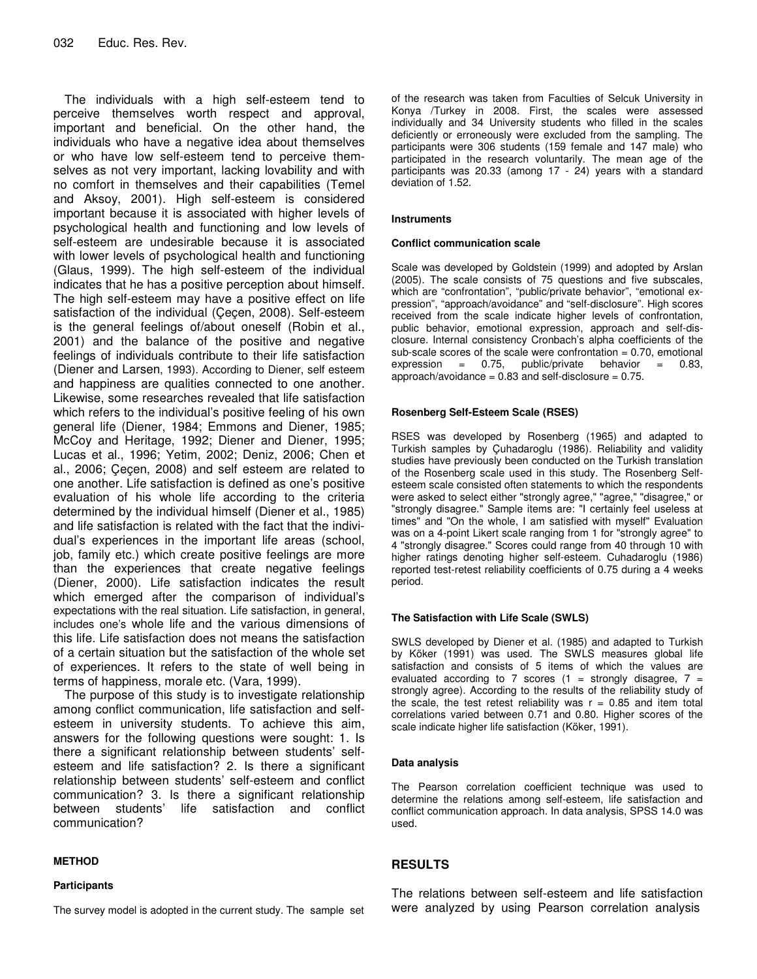The individuals with a high self-esteem tend to perceive themselves worth respect and approval, important and beneficial. On the other hand, the individuals who have a negative idea about themselves or who have low self-esteem tend to perceive themselves as not very important, lacking lovability and with no comfort in themselves and their capabilities (Temel and Aksoy, 2001). High self-esteem is considered important because it is associated with higher levels of psychological health and functioning and low levels of self-esteem are undesirable because it is associated with lower levels of psychological health and functioning (Glaus, 1999). The high self-esteem of the individual indicates that he has a positive perception about himself. The high self-esteem may have a positive effect on life satisfaction of the individual (Çeçen, 2008). Self-esteem is the general feelings of/about oneself (Robin et al., 2001) and the balance of the positive and negative feelings of individuals contribute to their life satisfaction (Diener and Larsen, 1993). According to Diener, self esteem and happiness are qualities connected to one another. Likewise, some researches revealed that life satisfaction which refers to the individual's positive feeling of his own general life (Diener, 1984; Emmons and Diener, 1985; McCoy and Heritage, 1992; Diener and Diener, 1995; Lucas et al., 1996; Yetim, 2002; Deniz, 2006; Chen et al., 2006; Çeçen, 2008) and self esteem are related to one another. Life satisfaction is defined as one's positive evaluation of his whole life according to the criteria determined by the individual himself (Diener et al., 1985) and life satisfaction is related with the fact that the individual's experiences in the important life areas (school, job, family etc.) which create positive feelings are more than the experiences that create negative feelings (Diener, 2000). Life satisfaction indicates the result which emerged after the comparison of individual's expectations with the real situation. Life satisfaction, in general, includes one's whole life and the various dimensions of this life. Life satisfaction does not means the satisfaction of a certain situation but the satisfaction of the whole set of experiences. It refers to the state of well being in terms of happiness, morale etc. (Vara, 1999).

The purpose of this study is to investigate relationship among conflict communication, life satisfaction and selfesteem in university students. To achieve this aim, answers for the following questions were sought: 1. Is there a significant relationship between students' selfesteem and life satisfaction? 2. Is there a significant relationship between students' self-esteem and conflict communication? 3. Is there a significant relationship between students' life satisfaction and conflict communication?

#### **METHOD**

#### **Participants**

The survey model is adopted in the current study. The sample set

of the research was taken from Faculties of Selcuk University in Konya /Turkey in 2008. First, the scales were assessed individually and 34 University students who filled in the scales deficiently or erroneously were excluded from the sampling. The participants were 306 students (159 female and 147 male) who participated in the research voluntarily. The mean age of the participants was 20.33 (among 17 - 24) years with a standard deviation of 1.52.

#### **Instruments**

#### **Conflict communication scale**

Scale was developed by Goldstein (1999) and adopted by Arslan (2005). The scale consists of 75 questions and five subscales, which are "confrontation", "public/private behavior", "emotional expression", "approach/avoidance" and "self-disclosure". High scores received from the scale indicate higher levels of confrontation, public behavior, emotional expression, approach and self-disclosure. Internal consistency Cronbach's alpha coefficients of the sub-scale scores of the scale were confrontation = 0.70, emotional expression =  $0.75$ , public/private behavior =  $0.83$ , approach/avoidance =  $0.83$  and self-disclosure =  $0.75$ .

#### **Rosenberg Self-Esteem Scale (RSES)**

RSES was developed by Rosenberg (1965) and adapted to Turkish samples by Çuhadaroglu (1986). Reliability and validity studies have previously been conducted on the Turkish translation of the Rosenberg scale used in this study. The Rosenberg Selfesteem scale consisted often statements to which the respondents were asked to select either "strongly agree," "agree," "disagree," or "strongly disagree." Sample items are: "I certainly feel useless at times" and "On the whole, I am satisfied with myself" Evaluation was on a 4-point Likert scale ranging from 1 for "strongly agree" to 4 "strongly disagree." Scores could range from 40 through 10 with higher ratings denoting higher self-esteem. Cuhadaroglu (1986) reported test-retest reliability coefficients of 0.75 during a 4 weeks period.

#### **The Satisfaction with Life Scale (SWLS)**

SWLS developed by Diener et al. (1985) and adapted to Turkish by Köker (1991) was used. The SWLS measures global life satisfaction and consists of 5 items of which the values are evaluated according to 7 scores (1 = strongly disagree, 7 = strongly agree). According to the results of the reliability study of the scale, the test retest reliability was  $r = 0.85$  and item total correlations varied between 0.71 and 0.80. Higher scores of the scale indicate higher life satisfaction (Köker, 1991).

#### **Data analysis**

The Pearson correlation coefficient technique was used to determine the relations among self-esteem, life satisfaction and conflict communication approach. In data analysis, SPSS 14.0 was used.

#### **RESULTS**

The relations between self-esteem and life satisfaction were analyzed by using Pearson correlation analysis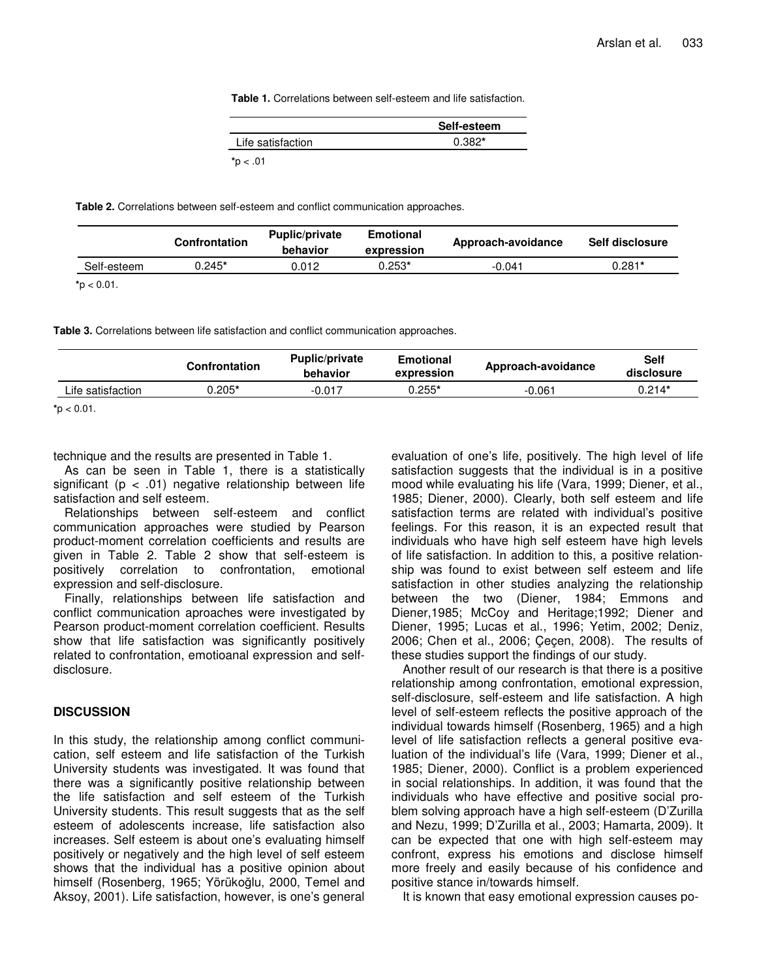**Table 1.** Correlations between self-esteem and life satisfaction.

|                   | Self-esteem |
|-------------------|-------------|
| Life satisfaction | $0.382*$    |
| $*$ p < .01       |             |

**Table 2.** Correlations between self-esteem and conflict communication approaches.

|             | <b>Confrontation</b> | <b>Puplic/private</b><br>behavior | Emotional<br>expression | Approach-avoidance | Self disclosure |
|-------------|----------------------|-----------------------------------|-------------------------|--------------------|-----------------|
| Self-esteem | $0.245*$             | 0.012                             | 0.253*                  | $-0.041$           | $0.281*$        |
|             |                      |                                   |                         |                    |                 |

**\***p < 0.01.

**Table 3.** Correlations between life satisfaction and conflict communication approaches.

|                   | <b>Confrontation</b> | <b>Puplic/private</b><br>behavior | <b>Emotional</b><br>expression | Approach-avoidance | <b>Self</b><br>disclosure |
|-------------------|----------------------|-----------------------------------|--------------------------------|--------------------|---------------------------|
| Life satisfaction | $0.205^*$            | $-0.017$                          | $0.255*$                       | $-0.061$           | $0.214*$                  |

**\***p < 0.01.

technique and the results are presented in Table 1.

As can be seen in Table 1, there is a statistically significant ( $p < .01$ ) negative relationship between life satisfaction and self esteem.

Relationships between self-esteem and conflict communication approaches were studied by Pearson product-moment correlation coefficients and results are given in Table 2. Table 2 show that self-esteem is positively correlation to confrontation, emotional expression and self-disclosure.

Finally, relationships between life satisfaction and conflict communication aproaches were investigated by Pearson product-moment correlation coefficient. Results show that life satisfaction was significantly positively related to confrontation, emotioanal expression and selfdisclosure.

### **DISCUSSION**

In this study, the relationship among conflict communication, self esteem and life satisfaction of the Turkish University students was investigated. It was found that there was a significantly positive relationship between the life satisfaction and self esteem of the Turkish University students. This result suggests that as the self esteem of adolescents increase, life satisfaction also increases. Self esteem is about one's evaluating himself positively or negatively and the high level of self esteem shows that the individual has a positive opinion about himself (Rosenberg, 1965; Yörükoğlu, 2000, Temel and Aksoy, 2001). Life satisfaction, however, is one's general

evaluation of one's life, positively. The high level of life satisfaction suggests that the individual is in a positive mood while evaluating his life (Vara, 1999; Diener, et al., 1985; Diener, 2000). Clearly, both self esteem and life satisfaction terms are related with individual's positive feelings. For this reason, it is an expected result that individuals who have high self esteem have high levels of life satisfaction. In addition to this, a positive relationship was found to exist between self esteem and life satisfaction in other studies analyzing the relationship between the two (Diener, 1984; Emmons and Diener,1985; McCoy and Heritage;1992; Diener and Diener, 1995; Lucas et al., 1996; Yetim, 2002; Deniz, 2006; Chen et al., 2006; Çeçen, 2008). The results of these studies support the findings of our study.

Another result of our research is that there is a positive relationship among confrontation, emotional expression, self-disclosure, self-esteem and life satisfaction. A high level of self-esteem reflects the positive approach of the individual towards himself (Rosenberg, 1965) and a high level of life satisfaction reflects a general positive evaluation of the individual's life (Vara, 1999; Diener et al., 1985; Diener, 2000). Conflict is a problem experienced in social relationships. In addition, it was found that the individuals who have effective and positive social problem solving approach have a high self-esteem (D'Zurilla and Nezu, 1999; D'Zurilla et al., 2003; Hamarta, 2009). It can be expected that one with high self-esteem may confront, express his emotions and disclose himself more freely and easily because of his confidence and positive stance in/towards himself.

It is known that easy emotional expression causes po-